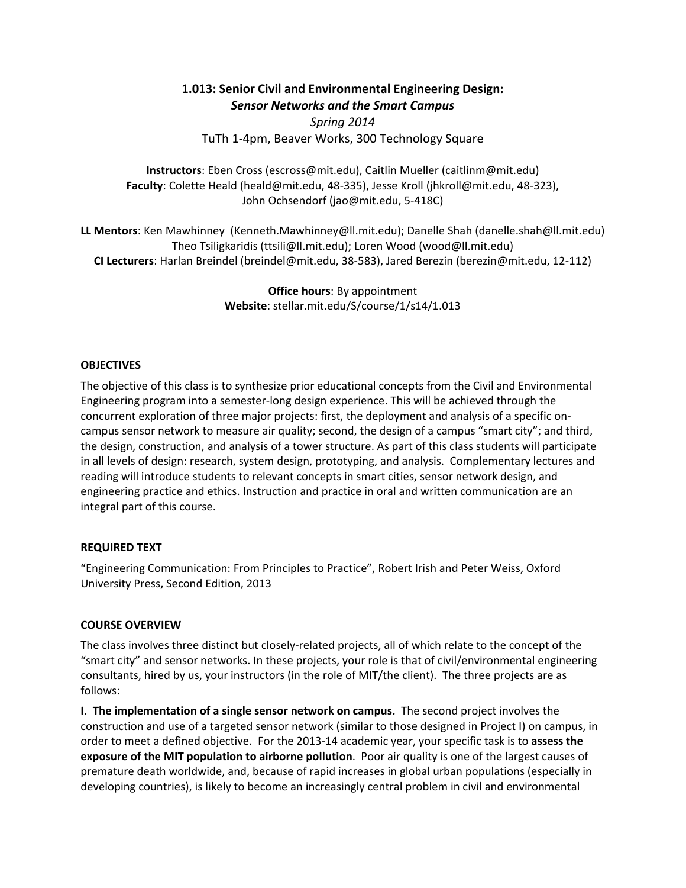# **1.013: Senior Civil and Environmental Engineering Design:**  *Sensor Networks and the Smart Campus*

*Spring 2014* TuTh 1‐4pm, Beaver Works, 300 Technology Square

**Instructors**: Eben Cross (escross@mit.edu), Caitlin Mueller (caitlinm@mit.edu) **Faculty**: Colette Heald (heald@mit.edu, 48‐335), Jesse Kroll (jhkroll@mit.edu, 48‐323), John Ochsendorf (jao@mit.edu, 5‐418C)

**LL Mentors**: Ken Mawhinney (Kenneth.Mawhinney@ll.mit.edu); Danelle Shah (danelle.shah@ll.mit.edu) Theo Tsiligkaridis (ttsili@ll.mit.edu); Loren Wood (wood@ll.mit.edu) **CI Lecturers**: Harlan Breindel (breindel@mit.edu, 38‐583), Jared Berezin (berezin@mit.edu, 12‐112)

> **Office hours**: By appointment **Website**: stellar.mit.edu/S/course/1/s14/1.013

#### **OBJECTIVES**

The objective of this class is to synthesize prior educational concepts from the Civil and Environmental Engineering program into a semester‐long design experience. This will be achieved through the concurrent exploration of three major projects: first, the deployment and analysis of a specific on‐ campus sensor network to measure air quality; second, the design of a campus "smart city"; and third, the design, construction, and analysis of a tower structure. As part of this class students will participate in all levels of design: research, system design, prototyping, and analysis. Complementary lectures and reading will introduce students to relevant concepts in smart cities, sensor network design, and engineering practice and ethics. Instruction and practice in oral and written communication are an integral part of this course.

## **REQUIRED TEXT**

"Engineering Communication: From Principles to Practice", Robert Irish and Peter Weiss, Oxford University Press, Second Edition, 2013

## **COURSE OVERVIEW**

The class involves three distinct but closely‐related projects, all of which relate to the concept of the "smart city" and sensor networks. In these projects, your role is that of civil/environmental engineering consultants, hired by us, your instructors (in the role of MIT/the client). The three projects are as follows:

**I. The implementation of a single sensor network on campus.** The second project involves the construction and use of a targeted sensor network (similar to those designed in Project I) on campus, in order to meet a defined objective. For the 2013‐14 academic year, your specific task is to **assess the exposure of the MIT population to airborne pollution**. Poor air quality is one of the largest causes of premature death worldwide, and, because of rapid increases in global urban populations (especially in developing countries), is likely to become an increasingly central problem in civil and environmental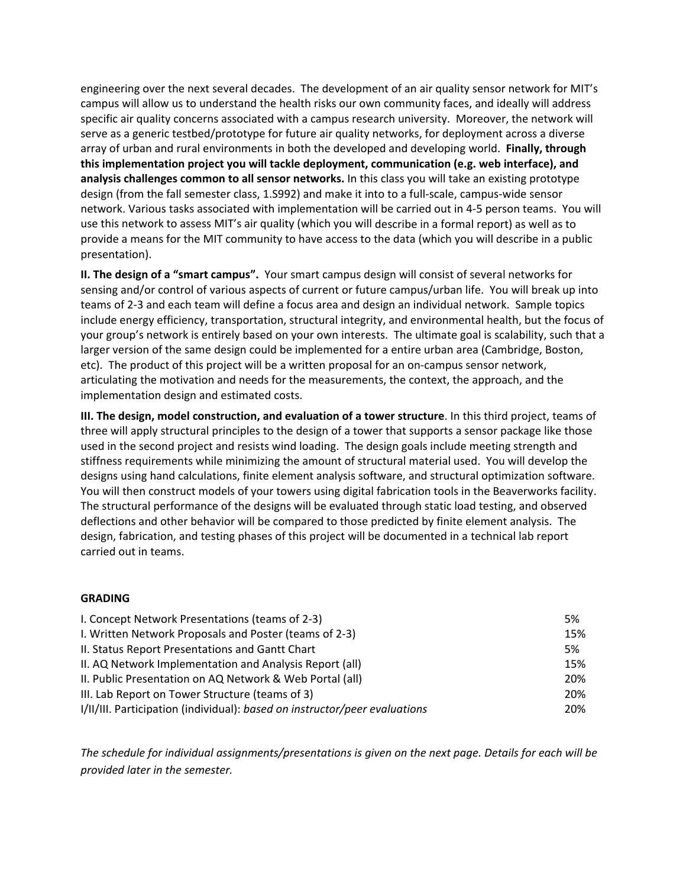engineering over the next several decades. The development of an air quality sensor network for MIT's campus will allow us to understand the health risks our own community faces, and ideally will address specific air quality concerns associated with a campus research university. Moreover, the network will serve as a generic testbed/prototype for future air quality networks, for deployment across a diverse array of urban and rural environments in both the developed and developing world. **Finally, through this implementation project you will tackle deployment, communication (e.g. web interface), and analysis challenges common to all sensor networks.** In this class you will take an existing prototype design (from the fall semester class, 1.S992) and make it into to a full‐scale, campus‐wide sensor network. Various tasks associated with implementation will be carried out in 4‐5 person teams.You will use this network to assess MIT's air quality (which you will describe in a formal report) as well as to provide a means for the MIT community to have access to the data (which you will describe in a public presentation).

**II. The design of a "smart campus".** Your smart campus design will consist of several networks for sensing and/or control of various aspects of current or future campus/urban life. You will break up into teams of 2‐3 and each team will define a focus area and design an individual network. Sample topics include energy efficiency, transportation, structural integrity, and environmental health, but the focus of your group's network is entirely based on your own interests. The ultimate goal is scalability, such that a larger version of the same design could be implemented for a entire urban area (Cambridge, Boston, etc). The product of this project will be a written proposal for an on-campus sensor network, articulating the motivation and needs for the measurements, the context, the approach, and the implementation design and estimated costs.

**III. The design, model construction, and evaluation of a tower structure**. In this third project, teams of three will apply structural principles to the design of a tower that supports a sensor package like those used in the second project and resists wind loading. The design goals include meeting strength and stiffness requirements while minimizing the amount of structural material used. You will develop the designs using hand calculations, finite element analysis software, and structural optimization software. You will then construct models of your towers using digital fabrication tools in the Beaverworks facility. The structural performance of the designs will be evaluated through static load testing, and observed deflections and other behavior will be compared to those predicted by finite element analysis. The design, fabrication, and testing phases of this project will be documented in a technical lab report carried out in teams.

## **GRADING**

| I. Concept Network Presentations (teams of 2-3)                            | 5%  |
|----------------------------------------------------------------------------|-----|
| I. Written Network Proposals and Poster (teams of 2-3)                     | 15% |
| II. Status Report Presentations and Gantt Chart                            | 5%  |
| II. AQ Network Implementation and Analysis Report (all)                    | 15% |
| II. Public Presentation on AQ Network & Web Portal (all)                   | 20% |
| III. Lab Report on Tower Structure (teams of 3)                            | 20% |
| I/II/III. Participation (individual): based on instructor/peer evaluations | 20% |

*The schedule for individual assignments/presentations is given on the next page. Details for each will be provided later in the semester.*